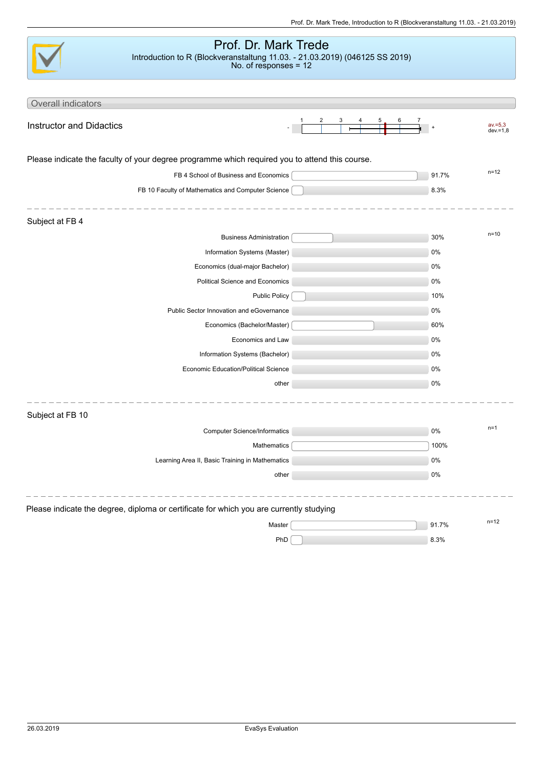|                                 | Prof. Dr. Mark Trede<br>Introduction to R (Blockveranstaltung 11.03. - 21.03.2019) (046125 SS 2019) |       |             |
|---------------------------------|-----------------------------------------------------------------------------------------------------|-------|-------------|
|                                 | No. of responses = $12$                                                                             |       |             |
|                                 |                                                                                                     |       |             |
|                                 |                                                                                                     |       |             |
| Overall indicators              |                                                                                                     |       |             |
| <b>Instructor and Didactics</b> |                                                                                                     |       | $av = 5.3$  |
|                                 |                                                                                                     |       | $dev = 1,8$ |
|                                 | Please indicate the faculty of your degree programme which required you to attend this course.      |       |             |
|                                 | FB 4 School of Business and Economics                                                               | 91.7% | $n = 12$    |
|                                 | FB 10 Faculty of Mathematics and Computer Science                                                   | 8.3%  |             |
|                                 |                                                                                                     |       |             |
| Subject at FB 4                 |                                                                                                     |       |             |
|                                 | <b>Business Administration</b>                                                                      | 30%   | $n = 10$    |
|                                 | Information Systems (Master)                                                                        | 0%    |             |
|                                 | Economics (dual-major Bachelor)                                                                     | 0%    |             |
|                                 | Political Science and Economics                                                                     | 0%    |             |
|                                 | <b>Public Policy</b>                                                                                | 10%   |             |
|                                 | Public Sector Innovation and eGovernance                                                            | 0%    |             |
|                                 | Economics (Bachelor/Master)                                                                         | 60%   |             |
|                                 | Economics and Law                                                                                   | 0%    |             |
|                                 | Information Systems (Bachelor)                                                                      | 0%    |             |
|                                 | Economic Education/Political Science                                                                | 0%    |             |
|                                 | other                                                                                               | 0%    |             |
|                                 |                                                                                                     |       |             |
| Subject at FB 10                |                                                                                                     |       |             |
|                                 | <b>Computer Science/Informatics</b>                                                                 | 0%    | $n=1$       |
|                                 | Mathematics                                                                                         | 100%  |             |
|                                 | Learning Area II, Basic Training in Mathematics                                                     | $0\%$ |             |
|                                 | other                                                                                               | $0\%$ |             |
|                                 |                                                                                                     |       |             |
|                                 |                                                                                                     |       |             |
|                                 | Please indicate the degree, diploma or certificate for which you are currently studying             |       |             |
|                                 | Master                                                                                              | 91.7% | $n = 12$    |
|                                 | PhD                                                                                                 | 8.3%  |             |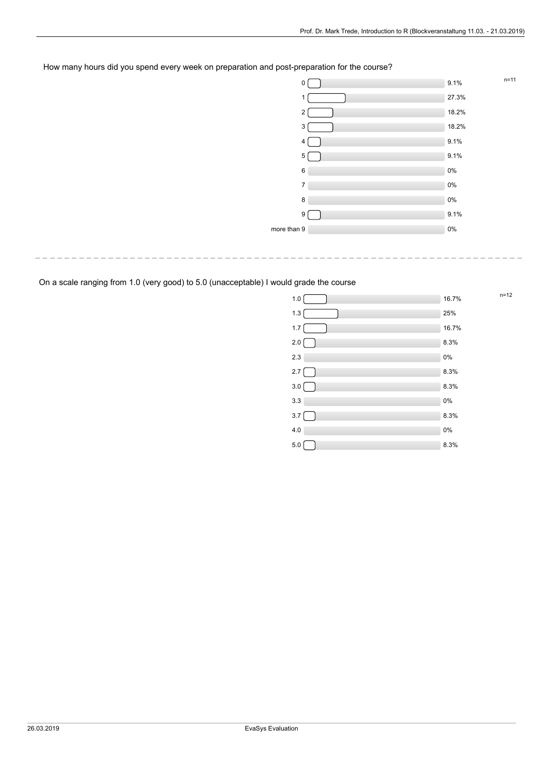## How many hours did you spend every week on preparation and post-preparation for the course?

|             | 0              | 9.1%  | $n = 11$ |
|-------------|----------------|-------|----------|
|             | 1              | 27.3% |          |
|             | 2              | 18.2% |          |
|             | 3              | 18.2% |          |
|             | 4              | 9.1%  |          |
|             | 5              | 9.1%  |          |
|             | 6              | 0%    |          |
|             | $\overline{7}$ | 0%    |          |
|             | 8              | 0%    |          |
|             | 9 <sup>1</sup> | 9.1%  |          |
| more than 9 |                | $0\%$ |          |
|             |                |       |          |

. <u>\_ \_ \_ \_ \_ \_ \_ \_ \_ \_ \_ \_ \_ \_ \_ \_ \_ \_</u> \_ \_ \_

 $n=12$ 

On a scale ranging from 1.0 (very good) to 5.0 (unacceptable) I would grade the course

 $\frac{1}{2}$ 

| 1.0     | 16.7% |
|---------|-------|
| $1.3$   | 25%   |
| $1.7\,$ | 16.7% |
| $2.0\,$ | 8.3%  |
| 2.3     | 0%    |
| $2.7\,$ | 8.3%  |
| $3.0\,$ | 8.3%  |
| 3.3     | 0%    |
| $3.7\,$ | 8.3%  |
| 4.0     | 0%    |
| $5.0$   | 8.3%  |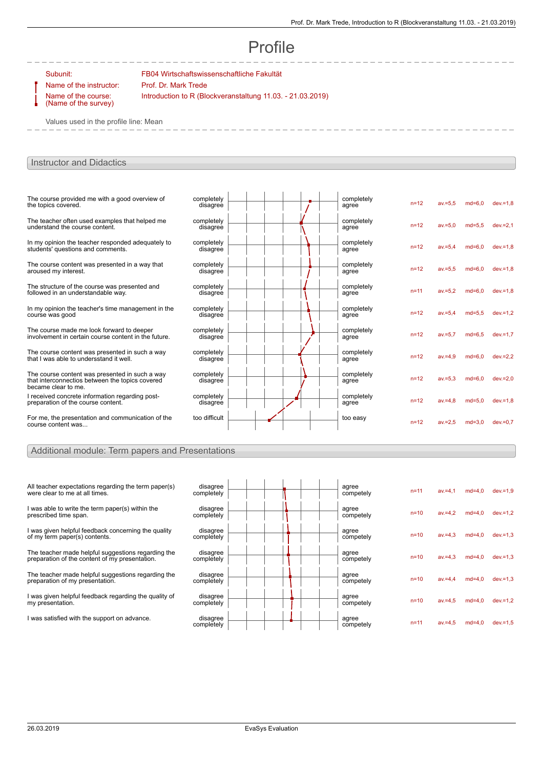# Profile

Name of the instructor: Prof. Dr. Mark Trede Name of the course: (Name of the survey)

Subunit: FB04 Wirtschaftswissenschaftliche Fakultät Introduction to R (Blockveranstaltung 11.03. - 21.03.2019)

Values used in the profile line: Mean

## Instructor and Didactics

| The course provided me with a good overview of<br>the topics covered.                                                    | completely<br>disagree |  | completely<br>agree | $n = 12$ | $av = 5.5$ | $md=6.0$ | $dev = 1.8$ |
|--------------------------------------------------------------------------------------------------------------------------|------------------------|--|---------------------|----------|------------|----------|-------------|
| The teacher often used examples that helped me<br>understand the course content.                                         | completely<br>disagree |  | completely<br>agree | $n=12$   | $av = 5.0$ | $md=5.5$ | $dev = 2.1$ |
| In my opinion the teacher responded adequately to<br>students' questions and comments.                                   | completely<br>disagree |  | completely<br>agree | $n = 12$ | $av = 5.4$ | $md=6.0$ | $dev = 1.8$ |
| The course content was presented in a way that<br>aroused my interest.                                                   | completely<br>disagree |  | completely<br>agree | $n = 12$ | $av = 5.5$ | $md=6.0$ | $dev = 1.8$ |
| The structure of the course was presented and<br>followed in an understandable way.                                      | completely<br>disagree |  | completely<br>agree | $n = 11$ | $av = 5.2$ | $md=6.0$ | $dev = 1.8$ |
| In my opinion the teacher's time management in the<br>course was good                                                    | completely<br>disagree |  | completely<br>agree | $n=12$   | $av = 5.4$ | $md=5.5$ | $dev = 1.2$ |
| The course made me look forward to deeper<br>involvement in certain course content in the future.                        | completely<br>disagree |  | completely<br>agree | $n=12$   | $av = 5.7$ | $md=6.5$ | $dev = 1.7$ |
| The course content was presented in such a way<br>that I was able to undersstand it well.                                | completely<br>disagree |  | completely<br>agree | $n=12$   | $av = 4.9$ | $md=6.0$ | $dev = 2.2$ |
| The course content was presented in such a way<br>that interconnectios between the topics covered<br>became clear to me. | completely<br>disagree |  | completely<br>agree | $n=12$   | $av = 5.3$ | $md=6.0$ | $dev = 2.0$ |
| I received concrete information regarding post-<br>preparation of the course content.                                    | completely<br>disagree |  | completely<br>agree | $n=12$   | $av = 4.8$ | $md=5.0$ | $dev = 1,8$ |
| For me, the presentation and communication of the<br>course content was                                                  | too difficult          |  | too easy            | $n = 12$ | $av = 2.5$ | $md=3.0$ | $dev = 0.7$ |

## Additional module: Term papers and Presentations

| All teacher expectations regarding the term paper(s)<br>were clear to me at all times.               | disagree<br>completely |  | agree<br>competely | $n = 11$ | av.=4.1    | $md=4.0$ | $dev = 1.9$ |
|------------------------------------------------------------------------------------------------------|------------------------|--|--------------------|----------|------------|----------|-------------|
| I was able to write the term paper(s) within the<br>prescribed time span.                            | disagree<br>completely |  | agree<br>competely | $n=10$   | $av = 4.2$ | $md=4.0$ | $dev = 1.2$ |
| I was given helpful feedback concerning the quality<br>of my term paper(s) contents.                 | disagree<br>completely |  | agree<br>competely | $n=10$   | $av = 4.3$ | $md=4,0$ | $dev = 1.3$ |
| The teacher made helpful suggestions regarding the<br>preparation of the content of my presentation. | disagree<br>completely |  | agree<br>competely | $n=10$   | $av = 4.3$ | $md=4.0$ | $dev = 1.3$ |
| The teacher made helpful suggestions regarding the<br>preparation of my presentation.                | disagree<br>completely |  | agree<br>competely | $n=10$   | $av = 4.4$ | $md=4.0$ | $dev = 1,3$ |
| I was given helpful feedback regarding the quality of<br>my presentation.                            | disagree<br>completely |  | agree<br>competely | $n=10$   | $av = 4.5$ | $md=4.0$ | $dev = 1.2$ |
| I was satisfied with the support on advance.                                                         | disagree<br>completely |  | agree<br>competely | $n = 11$ | $av = 4.5$ | $md=4.0$ | $dev = 1.5$ |